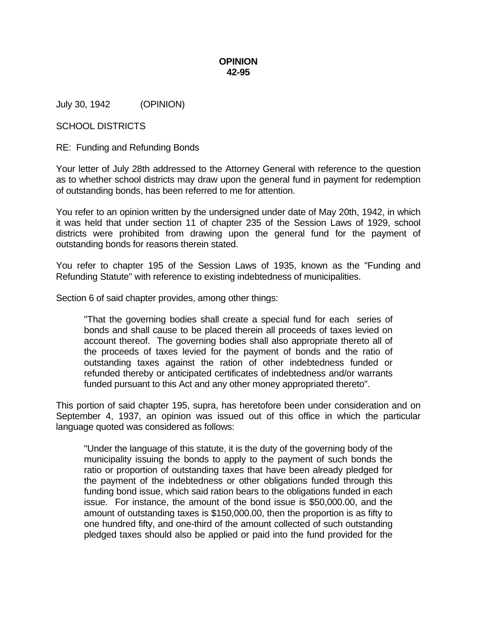## **OPINION 42-95**

July 30, 1942 (OPINION)

## SCHOOL DISTRICTS

RE: Funding and Refunding Bonds

Your letter of July 28th addressed to the Attorney General with reference to the question as to whether school districts may draw upon the general fund in payment for redemption of outstanding bonds, has been referred to me for attention.

You refer to an opinion written by the undersigned under date of May 20th, 1942, in which it was held that under section 11 of chapter 235 of the Session Laws of 1929, school districts were prohibited from drawing upon the general fund for the payment of outstanding bonds for reasons therein stated.

You refer to chapter 195 of the Session Laws of 1935, known as the "Funding and Refunding Statute" with reference to existing indebtedness of municipalities.

Section 6 of said chapter provides, among other things:

"That the governing bodies shall create a special fund for each series of bonds and shall cause to be placed therein all proceeds of taxes levied on account thereof. The governing bodies shall also appropriate thereto all of the proceeds of taxes levied for the payment of bonds and the ratio of outstanding taxes against the ration of other indebtedness funded or refunded thereby or anticipated certificates of indebtedness and/or warrants funded pursuant to this Act and any other money appropriated thereto".

This portion of said chapter 195, supra, has heretofore been under consideration and on September 4, 1937, an opinion was issued out of this office in which the particular language quoted was considered as follows:

"Under the language of this statute, it is the duty of the governing body of the municipality issuing the bonds to apply to the payment of such bonds the ratio or proportion of outstanding taxes that have been already pledged for the payment of the indebtedness or other obligations funded through this funding bond issue, which said ration bears to the obligations funded in each issue. For instance, the amount of the bond issue is \$50,000.00, and the amount of outstanding taxes is \$150,000.00, then the proportion is as fifty to one hundred fifty, and one-third of the amount collected of such outstanding pledged taxes should also be applied or paid into the fund provided for the